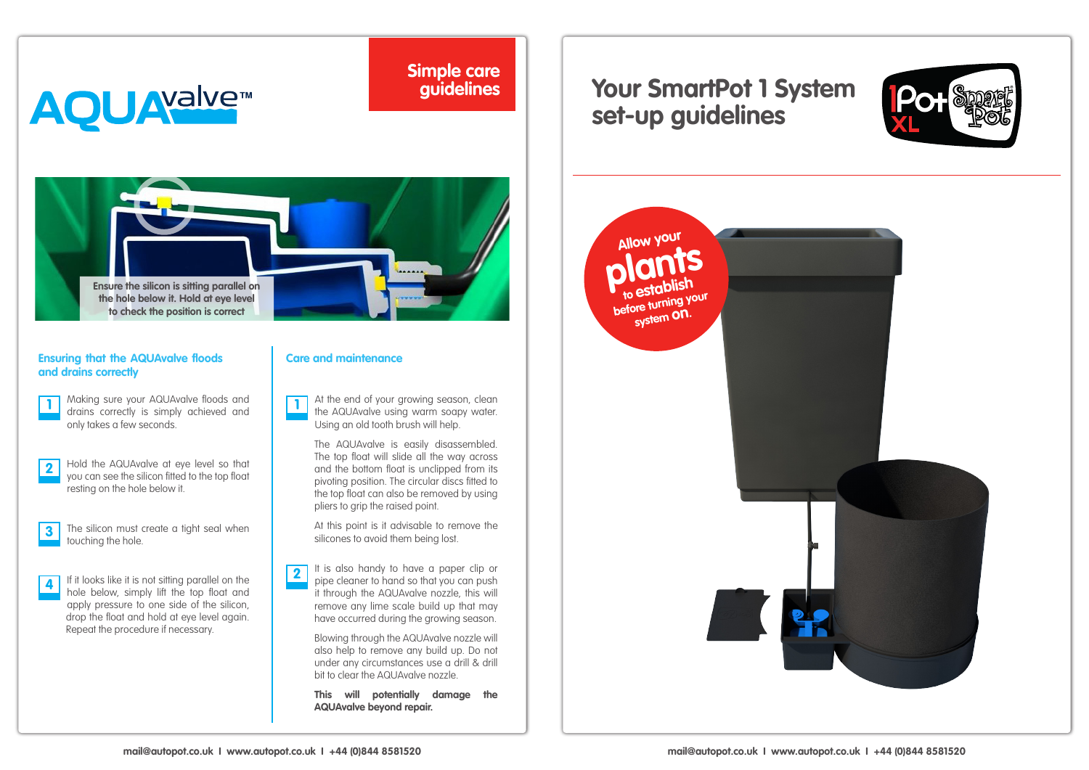# **AQUAYalvem**

**Simple care guidelines**

## **Your SmartPot 1 System set-up guidelines**





#### **Ensuring that the AQUAvalve floods and drains correctly**

Making sure your AQUAvalve floods and drains correctly is simply achieved and **1 1** only takes a few seconds.

- Hold the AQUAvalve at eye level so that you can see the silicon fitted to the top float resting on the hole below it. **2**
- The silicon must create a tight seal when touching the hole. **3**

If it looks like it is not sitting parallel on the hole below, simply lift the top float and apply pressure to one side of the silicon, drop the float and hold at eye level again. Repeat the procedure if necessary. **4**

### **Care and maintenance**

At the end of your growing season, clean the AQUAvalve using warm soapy water. Using an old tooth brush will help.

The AQUAvalve is easily disassembled. The top float will slide all the way across and the bottom float is unclipped from its pivoting position. The circular discs fitted to the top float can also be removed by using pliers to grip the raised point.

At this point is it advisable to remove the silicones to avoid them being lost.

It is also handy to have a paper clip or pipe cleaner to hand so that you can push it through the AQUAvalve nozzle, this will remove any lime scale build up that may have occurred during the growing season. **2**

> Blowing through the AQUAvalve nozzle will also help to remove any build up. Do not under any circumstances use a drill & drill bit to clear the AQUAvalve nozzle.

**This will potentially damage the AQUAvalve beyond repair.**

**plants Allow your to establish before turning your system on.**